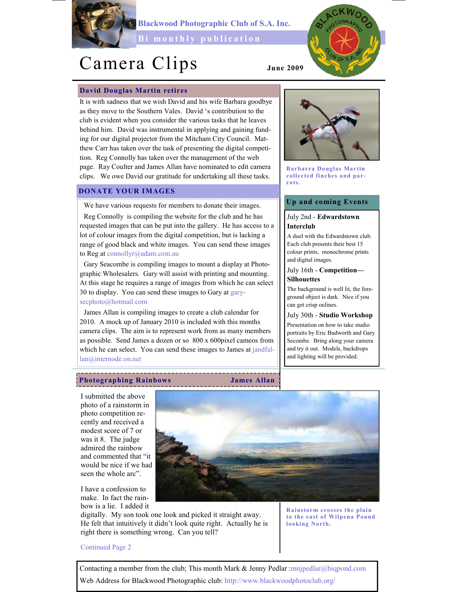

Blackwood Photographic Club of S.A. Inc.

Bi monthly publication

# Camera Clips

# David Douglas Martin retires

It is with sadness that we wish David and his wife Barbara goodbye as they move to the Southern Vales. David 's contribution to the club is evident when you consider the various tasks that he leaves behind him. David was instrumental in applying and gaining funding for our digital projector from the Mitcham City Council. Matthew Carr has taken over the task of presenting the digital competition. Reg Connolly has taken over the management of the web page. Ray Coulter and James Allan have nominated to edit camera clips. We owe David our gratitude for undertaking all these tasks.

# DONATE YOUR IMAGES

We have various requests for members to donate their images. Reg Connolly is compiling the website for the club and he has requested images that can be put into the gallery. He has access to a lot of colour images from the digital competition, but is lacking a range of good black and white images. You can send these images to Reg at connollyr@adam.com.au

Gary Seacombe is compiling images to mount a display at Photographic Wholesalers. Gary will assist with printing and mounting. At this stage he requires a range of images from which he can select 30 to display. You can send these images to Gary at garysecphoto@hotmail.com

James Allan is compiling images to create a club calendar for 2010. A mock up of January 2010 is included with this months camera clips. The aim is to represent work from as many members as possible. Send James a dozen or so 800 x 600pixel cameos from which he can select. You can send these images to James at jandfallan@internode.on.net



June 2009

Barbarra Douglas Martin collected finches and parrots.

# Up and coming Events

# July 2nd - Edwardstown Interclub

A duel with the Edwardstown club. Each club presents their best 15 colour prints, monochrome prints and digital images.

# July 16th - Competition— **Silhouettes**

The background is well lit, the foreground object is dark. Nice if you can get crisp oulines.

July 30th - Studio Workshop

Presentation on how to take studio portraits by Eric Budworth and Gary Secombe. Bring along your camera and try it out. Models, backdrops and lighting will be provided.

# Photographing Rainbows James Allan

I submitted the above photo of a rainstorm in photo competition recently and received a modest score of 7 or was it 8. The judge admired the rainbow and commented that "it would be nice if we had seen the whole arc".

I have a confession to make. In fact the rainbow is a lie. I added it



digitally. My son took one look and picked it straight away. He felt that intuitively it didn't look quite right. Actually he is right there is something wrong. Can you tell?

Rainstorm crosses the plain to the east of Wilpena Pound looking North.

Continued Page 2

Contacting a member from the club; This month Mark & Jenny Pedlar : mnjpedlar@biqpond.com Web Address for Blackwood Photographic club: http://www.blackwoodphotoclub.org/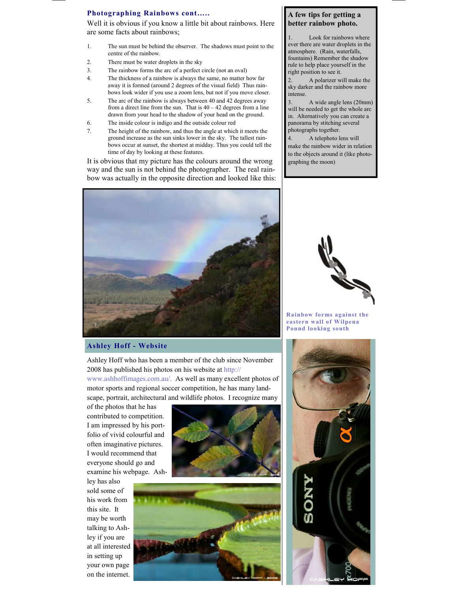## Photographing Rainbows cont…..

Well it is obvious if you know a little bit about rainbows. Here are some facts about rainbows;

- 1. The sun must be behind the observer. The shadows must point to the centre of the rainbow.
- 2. There must be water droplets in the sky
- 3. The rainbow forms the arc of a perfect circle (not an oval)
- 4. The thickness of a rainbow is always the same, no matter how far away it is formed (around 2 degrees of the visual field) Thus rainbows look wider if you use a zoom lens, but not if you move closer.
- 5. The arc of the rainbow is always between 40 and 42 degrees away from a direct line from the sun. That is  $40 - 42$  degrees from a line drawn from your head to the shadow of your head on the ground.
- 6. The inside colour is indigo and the outside colour red
- 7. The height of the rainbow, and thus the angle at which it meets the ground increase as the sun sinks lower in the sky. The tallest rainbows occur at sunset, the shortest at midday. Thus you could tell the time of day by looking at these features.

It is obvious that my picture has the colours around the wrong way and the sun is not behind the photographer. The real rainbow was actually in the opposite direction and looked like this:

# A few tips for getting a better rainbow photo.

Look for rainbows where ever there are water droplets in the atmosphere. (Rain, waterfalls, fountains) Remember the shadow rule to help place yourself in the right position to see it.

2. A polarizer will make the sky darker and the rainbow more intense.

3. A wide angle lens (20mm) will be needed to get the whole arc in. Alternatively you can create a panorama by stitching several photographs together.

4. A telephoto lens will make the rainbow wider in relation to the objects around it (like photographing the moon)



Rainbow forms against the eastern wall of Wilpena Pound looking south

### Ashley Hoff - Website

Ashley Hoff who has been a member of the club since November 2008 has published his photos on his website at http:// www.ashhoffimages.com.au/. As well as many excellent photos of

motor sports and regional soccer competition, he has many landscape, portrait, architectural and wildlife photos. I recognize many

of the photos that he has contributed to competition. I am impressed by his portfolio of vivid colourful and often imaginative pictures. I would recommend that everyone should go and examine his webpage. Ash-

ley has also sold some of his work from this site. It may be worth talking to Ashley if you are at all interested in setting up your own page on the internet.